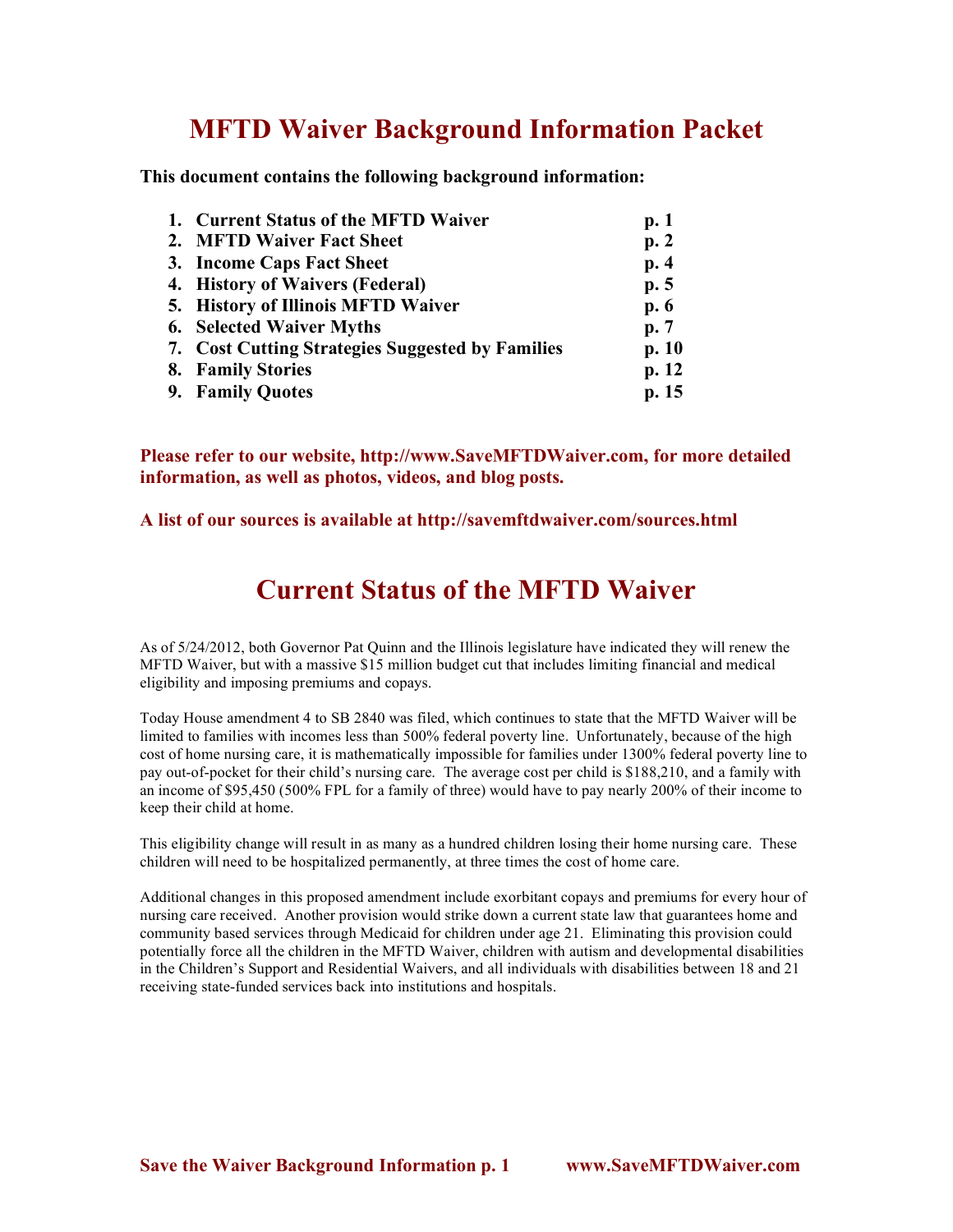## **MFTD Waiver Background Information Packet**

**This document contains the following background information:**

| 1. Current Status of the MFTD Waiver             | p.1   |
|--------------------------------------------------|-------|
| 2. MFTD Waiver Fact Sheet                        | p.2   |
| 3. Income Caps Fact Sheet                        | p.4   |
| 4. History of Waivers (Federal)                  | p.5   |
| 5. History of Illinois MFTD Waiver               | p.6   |
| <b>6.</b> Selected Waiver Myths                  | p.7   |
| 7. Cost Cutting Strategies Suggested by Families | p. 10 |
| 8. Family Stories                                | p.12  |
| 9. Family Quotes                                 | p. 15 |

**Please refer to our website, http://www.SaveMFTDWaiver.com, for more detailed information, as well as photos, videos, and blog posts.**

### **A list of our sources is available at http://savemftdwaiver.com/sources.html**

### **Current Status of the MFTD Waiver**

As of 5/24/2012, both Governor Pat Quinn and the Illinois legislature have indicated they will renew the MFTD Waiver, but with a massive \$15 million budget cut that includes limiting financial and medical eligibility and imposing premiums and copays.

Today House amendment 4 to SB 2840 was filed, which continues to state that the MFTD Waiver will be limited to families with incomes less than 500% federal poverty line. Unfortunately, because of the high cost of home nursing care, it is mathematically impossible for families under 1300% federal poverty line to pay out-of-pocket for their child's nursing care. The average cost per child is \$188,210, and a family with an income of \$95,450 (500% FPL for a family of three) would have to pay nearly 200% of their income to keep their child at home.

This eligibility change will result in as many as a hundred children losing their home nursing care. These children will need to be hospitalized permanently, at three times the cost of home care.

Additional changes in this proposed amendment include exorbitant copays and premiums for every hour of nursing care received. Another provision would strike down a current state law that guarantees home and community based services through Medicaid for children under age 21. Eliminating this provision could potentially force all the children in the MFTD Waiver, children with autism and developmental disabilities in the Children's Support and Residential Waivers, and all individuals with disabilities between 18 and 21 receiving state-funded services back into institutions and hospitals.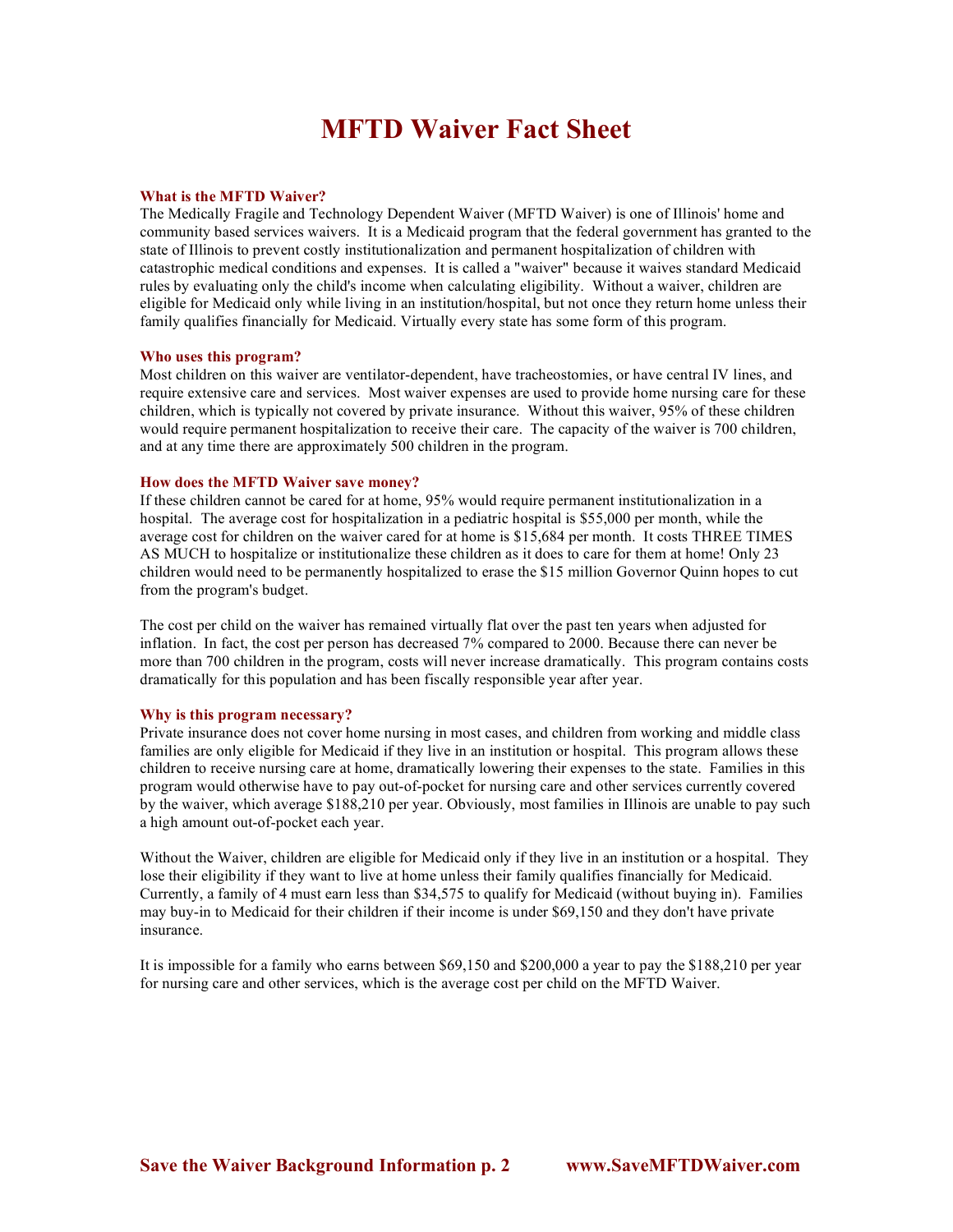### **MFTD Waiver Fact Sheet**

### **What is the MFTD Waiver?**

The Medically Fragile and Technology Dependent Waiver (MFTD Waiver) is one of Illinois' home and community based services waivers. It is a Medicaid program that the federal government has granted to the state of Illinois to prevent costly institutionalization and permanent hospitalization of children with catastrophic medical conditions and expenses. It is called a "waiver" because it waives standard Medicaid rules by evaluating only the child's income when calculating eligibility. Without a waiver, children are eligible for Medicaid only while living in an institution/hospital, but not once they return home unless their family qualifies financially for Medicaid. Virtually every state has some form of this program.

### **Who uses this program?**

Most children on this waiver are ventilator-dependent, have tracheostomies, or have central IV lines, and require extensive care and services. Most waiver expenses are used to provide home nursing care for these children, which is typically not covered by private insurance. Without this waiver, 95% of these children would require permanent hospitalization to receive their care. The capacity of the waiver is 700 children, and at any time there are approximately 500 children in the program.

### **How does the MFTD Waiver save money?**

If these children cannot be cared for at home, 95% would require permanent institutionalization in a hospital. The average cost for hospitalization in a pediatric hospital is \$55,000 per month, while the average cost for children on the waiver cared for at home is \$15,684 per month. It costs THREE TIMES AS MUCH to hospitalize or institutionalize these children as it does to care for them at home! Only 23 children would need to be permanently hospitalized to erase the \$15 million Governor Quinn hopes to cut from the program's budget.

The cost per child on the waiver has remained virtually flat over the past ten years when adjusted for inflation. In fact, the cost per person has decreased 7% compared to 2000. Because there can never be more than 700 children in the program, costs will never increase dramatically. This program contains costs dramatically for this population and has been fiscally responsible year after year.

### **Why is this program necessary?**

Private insurance does not cover home nursing in most cases, and children from working and middle class families are only eligible for Medicaid if they live in an institution or hospital. This program allows these children to receive nursing care at home, dramatically lowering their expenses to the state. Families in this program would otherwise have to pay out-of-pocket for nursing care and other services currently covered by the waiver, which average \$188,210 per year. Obviously, most families in Illinois are unable to pay such a high amount out-of-pocket each year.

Without the Waiver, children are eligible for Medicaid only if they live in an institution or a hospital. They lose their eligibility if they want to live at home unless their family qualifies financially for Medicaid. Currently, a family of 4 must earn less than \$34,575 to qualify for Medicaid (without buying in). Families may buy-in to Medicaid for their children if their income is under \$69,150 and they don't have private insurance.

It is impossible for a family who earns between \$69,150 and \$200,000 a year to pay the \$188,210 per year for nursing care and other services, which is the average cost per child on the MFTD Waiver.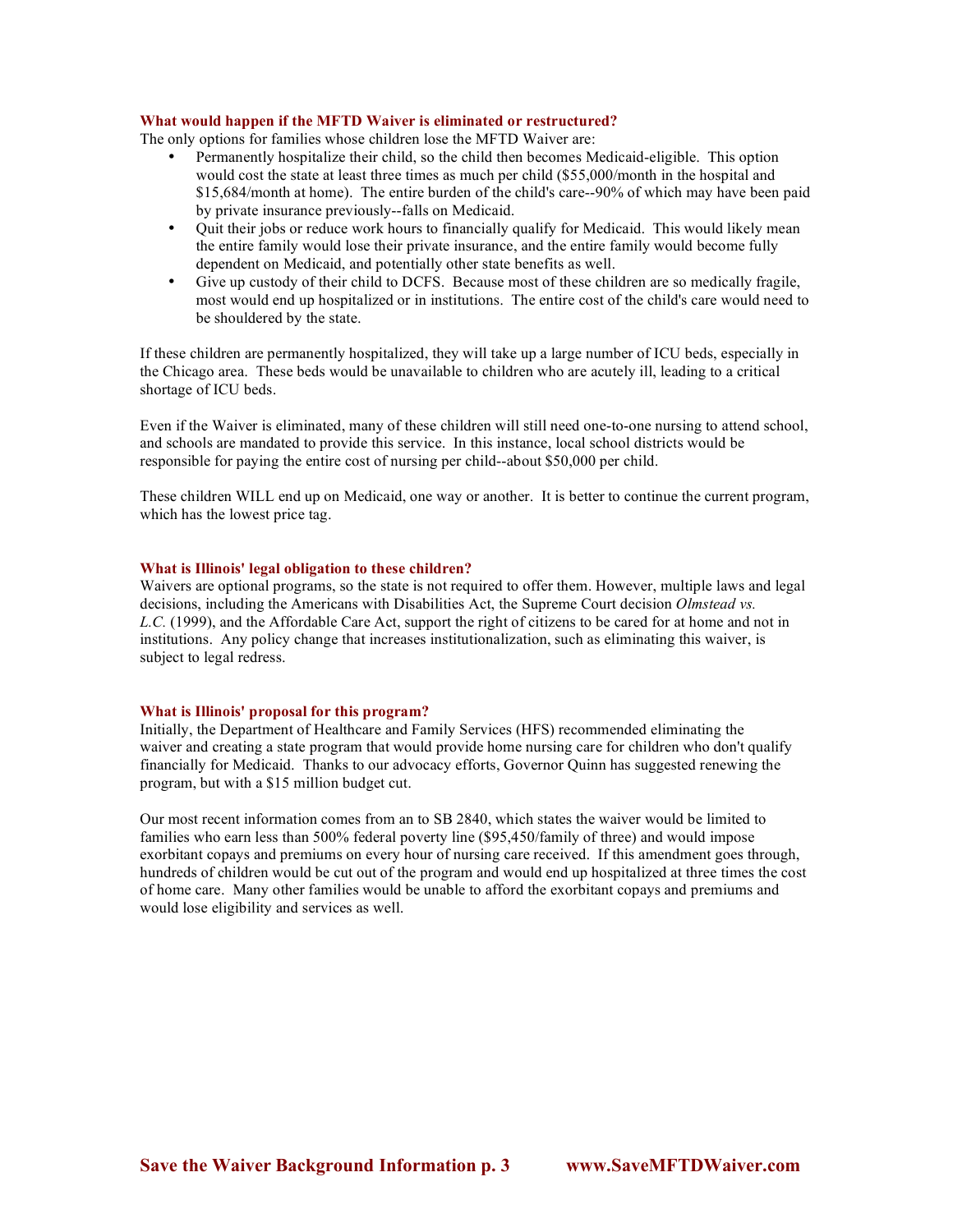### **What would happen if the MFTD Waiver is eliminated or restructured?**

The only options for families whose children lose the MFTD Waiver are:

- Permanently hospitalize their child, so the child then becomes Medicaid-eligible. This option would cost the state at least three times as much per child (\$55,000/month in the hospital and \$15,684/month at home). The entire burden of the child's care--90% of which may have been paid by private insurance previously--falls on Medicaid.
- Quit their jobs or reduce work hours to financially qualify for Medicaid. This would likely mean the entire family would lose their private insurance, and the entire family would become fully dependent on Medicaid, and potentially other state benefits as well.
- Give up custody of their child to DCFS. Because most of these children are so medically fragile, most would end up hospitalized or in institutions. The entire cost of the child's care would need to be shouldered by the state.

If these children are permanently hospitalized, they will take up a large number of ICU beds, especially in the Chicago area. These beds would be unavailable to children who are acutely ill, leading to a critical shortage of ICU beds.

Even if the Waiver is eliminated, many of these children will still need one-to-one nursing to attend school, and schools are mandated to provide this service. In this instance, local school districts would be responsible for paying the entire cost of nursing per child--about \$50,000 per child.

These children WILL end up on Medicaid, one way or another. It is better to continue the current program, which has the lowest price tag.

#### **What is Illinois' legal obligation to these children?**

Waivers are optional programs, so the state is not required to offer them. However, multiple laws and legal decisions, including the Americans with Disabilities Act, the Supreme Court decision *Olmstead vs. L.C.* (1999), and the Affordable Care Act, support the right of citizens to be cared for at home and not in institutions. Any policy change that increases institutionalization, such as eliminating this waiver, is subject to legal redress.

### **What is Illinois' proposal for this program?**

Initially, the Department of Healthcare and Family Services (HFS) recommended eliminating the waiver and creating a state program that would provide home nursing care for children who don't qualify financially for Medicaid. Thanks to our advocacy efforts, Governor Quinn has suggested renewing the program, but with a \$15 million budget cut.

Our most recent information comes from an to SB 2840, which states the waiver would be limited to families who earn less than 500% federal poverty line (\$95,450/family of three) and would impose exorbitant copays and premiums on every hour of nursing care received. If this amendment goes through, hundreds of children would be cut out of the program and would end up hospitalized at three times the cost of home care. Many other families would be unable to afford the exorbitant copays and premiums and would lose eligibility and services as well.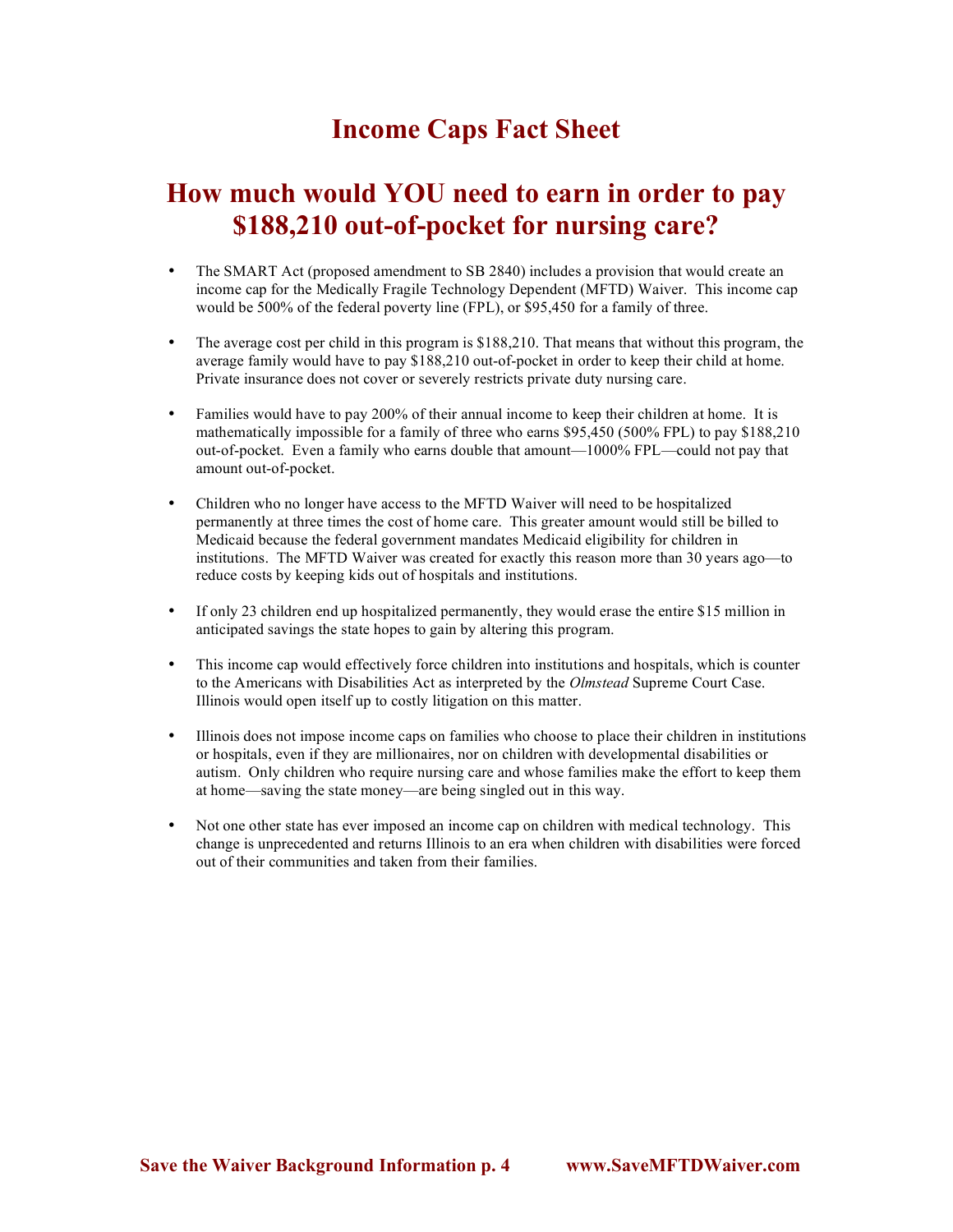### **Income Caps Fact Sheet**

### **How much would YOU need to earn in order to pay \$188,210 out-of-pocket for nursing care?**

- The SMART Act (proposed amendment to SB 2840) includes a provision that would create an income cap for the Medically Fragile Technology Dependent (MFTD) Waiver. This income cap would be 500% of the federal poverty line (FPL), or \$95,450 for a family of three.
- The average cost per child in this program is \$188,210. That means that without this program, the average family would have to pay \$188,210 out-of-pocket in order to keep their child at home. Private insurance does not cover or severely restricts private duty nursing care.
- Families would have to pay 200% of their annual income to keep their children at home. It is mathematically impossible for a family of three who earns \$95,450 (500% FPL) to pay \$188,210 out-of-pocket. Even a family who earns double that amount—1000% FPL—could not pay that amount out-of-pocket.
- Children who no longer have access to the MFTD Waiver will need to be hospitalized permanently at three times the cost of home care. This greater amount would still be billed to Medicaid because the federal government mandates Medicaid eligibility for children in institutions. The MFTD Waiver was created for exactly this reason more than 30 years ago—to reduce costs by keeping kids out of hospitals and institutions.
- If only 23 children end up hospitalized permanently, they would erase the entire \$15 million in anticipated savings the state hopes to gain by altering this program.
- This income cap would effectively force children into institutions and hospitals, which is counter to the Americans with Disabilities Act as interpreted by the *Olmstead* Supreme Court Case. Illinois would open itself up to costly litigation on this matter.
- Illinois does not impose income caps on families who choose to place their children in institutions or hospitals, even if they are millionaires, nor on children with developmental disabilities or autism. Only children who require nursing care and whose families make the effort to keep them at home—saving the state money—are being singled out in this way.
- Not one other state has ever imposed an income cap on children with medical technology. This change is unprecedented and returns Illinois to an era when children with disabilities were forced out of their communities and taken from their families.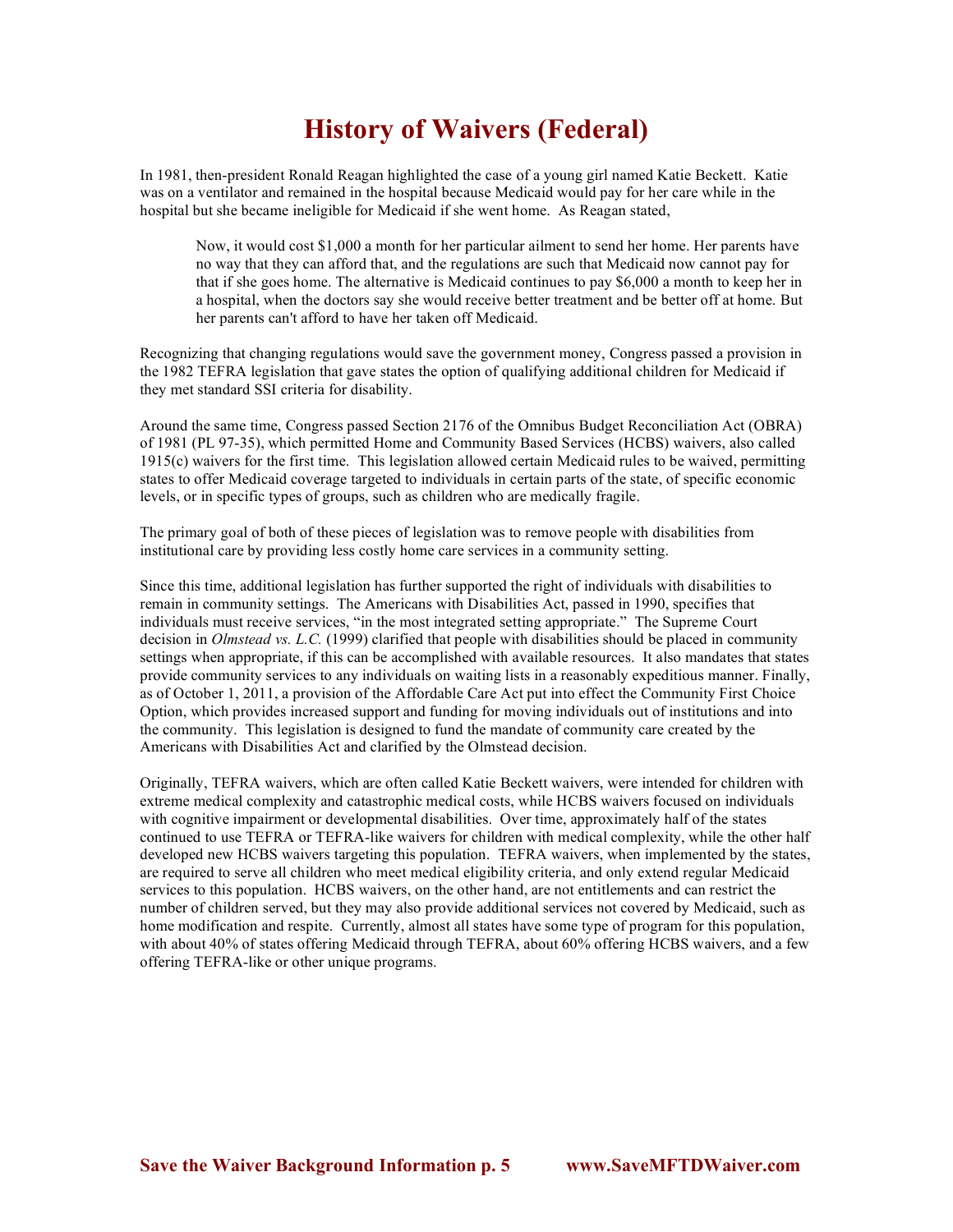## **History of Waivers (Federal)**

In 1981, then-president Ronald Reagan highlighted the case of a young girl named Katie Beckett. Katie was on a ventilator and remained in the hospital because Medicaid would pay for her care while in the hospital but she became ineligible for Medicaid if she went home. As Reagan stated,

Now, it would cost \$1,000 a month for her particular ailment to send her home. Her parents have no way that they can afford that, and the regulations are such that Medicaid now cannot pay for that if she goes home. The alternative is Medicaid continues to pay \$6,000 a month to keep her in a hospital, when the doctors say she would receive better treatment and be better off at home. But her parents can't afford to have her taken off Medicaid.

Recognizing that changing regulations would save the government money, Congress passed a provision in the 1982 TEFRA legislation that gave states the option of qualifying additional children for Medicaid if they met standard SSI criteria for disability.

Around the same time, Congress passed Section 2176 of the Omnibus Budget Reconciliation Act (OBRA) of 1981 (PL 97-35), which permitted Home and Community Based Services (HCBS) waivers, also called 1915(c) waivers for the first time. This legislation allowed certain Medicaid rules to be waived, permitting states to offer Medicaid coverage targeted to individuals in certain parts of the state, of specific economic levels, or in specific types of groups, such as children who are medically fragile.

The primary goal of both of these pieces of legislation was to remove people with disabilities from institutional care by providing less costly home care services in a community setting.

Since this time, additional legislation has further supported the right of individuals with disabilities to remain in community settings. The Americans with Disabilities Act, passed in 1990, specifies that individuals must receive services, "in the most integrated setting appropriate." The Supreme Court decision in *Olmstead vs. L.C.* (1999) clarified that people with disabilities should be placed in community settings when appropriate, if this can be accomplished with available resources. It also mandates that states provide community services to any individuals on waiting lists in a reasonably expeditious manner. Finally, as of October 1, 2011, a provision of the Affordable Care Act put into effect the Community First Choice Option, which provides increased support and funding for moving individuals out of institutions and into the community. This legislation is designed to fund the mandate of community care created by the Americans with Disabilities Act and clarified by the Olmstead decision.

Originally, TEFRA waivers, which are often called Katie Beckett waivers, were intended for children with extreme medical complexity and catastrophic medical costs, while HCBS waivers focused on individuals with cognitive impairment or developmental disabilities. Over time, approximately half of the states continued to use TEFRA or TEFRA-like waivers for children with medical complexity, while the other half developed new HCBS waivers targeting this population. TEFRA waivers, when implemented by the states, are required to serve all children who meet medical eligibility criteria, and only extend regular Medicaid services to this population. HCBS waivers, on the other hand, are not entitlements and can restrict the number of children served, but they may also provide additional services not covered by Medicaid, such as home modification and respite. Currently, almost all states have some type of program for this population, with about 40% of states offering Medicaid through TEFRA, about 60% offering HCBS waivers, and a few offering TEFRA-like or other unique programs.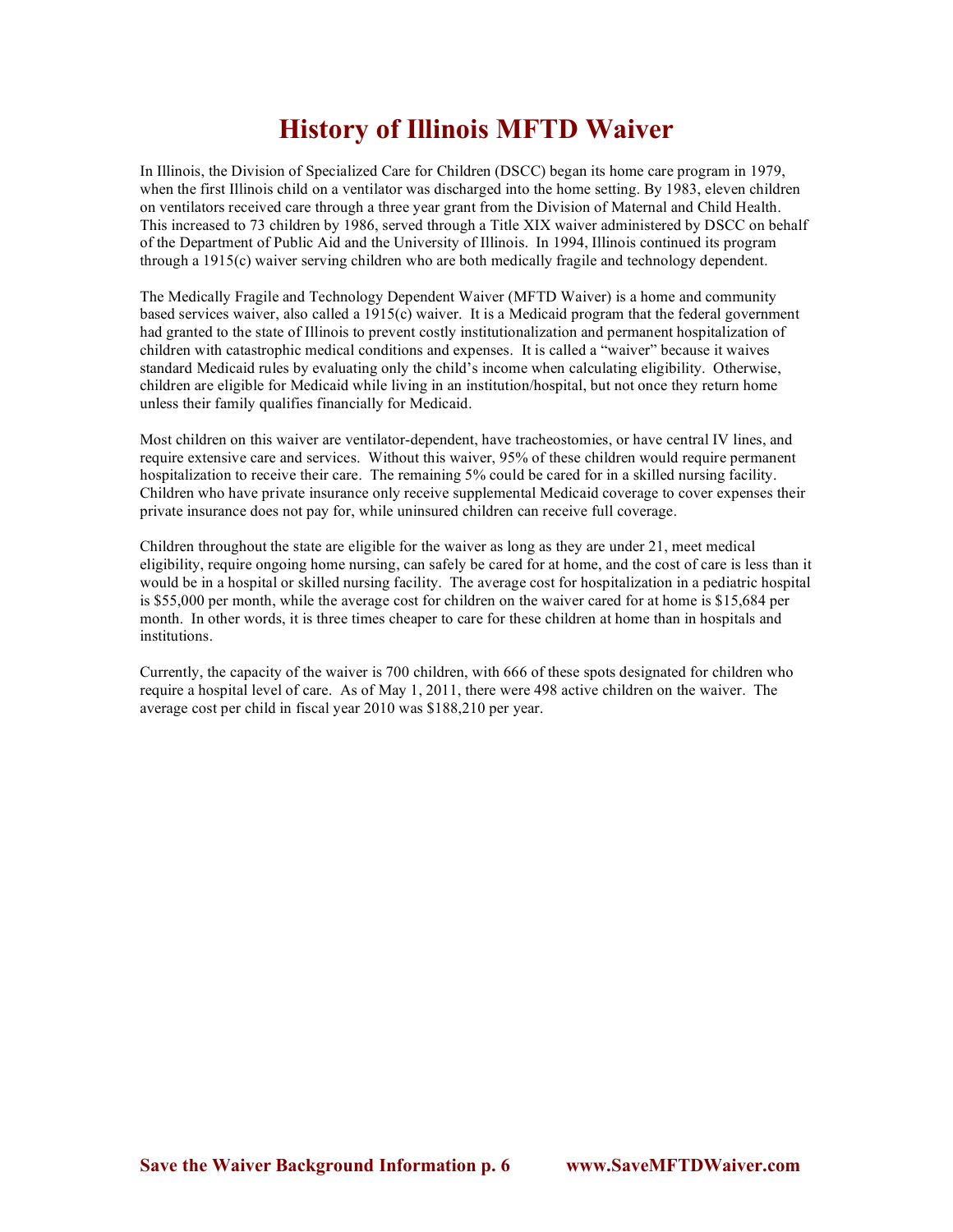## **History of Illinois MFTD Waiver**

In Illinois, the Division of Specialized Care for Children (DSCC) began its home care program in 1979, when the first Illinois child on a ventilator was discharged into the home setting. By 1983, eleven children on ventilators received care through a three year grant from the Division of Maternal and Child Health. This increased to 73 children by 1986, served through a Title XIX waiver administered by DSCC on behalf of the Department of Public Aid and the University of Illinois. In 1994, Illinois continued its program through a 1915(c) waiver serving children who are both medically fragile and technology dependent.

The Medically Fragile and Technology Dependent Waiver (MFTD Waiver) is a home and community based services waiver, also called a 1915(c) waiver. It is a Medicaid program that the federal government had granted to the state of Illinois to prevent costly institutionalization and permanent hospitalization of children with catastrophic medical conditions and expenses. It is called a "waiver" because it waives standard Medicaid rules by evaluating only the child's income when calculating eligibility. Otherwise, children are eligible for Medicaid while living in an institution/hospital, but not once they return home unless their family qualifies financially for Medicaid.

Most children on this waiver are ventilator-dependent, have tracheostomies, or have central IV lines, and require extensive care and services. Without this waiver, 95% of these children would require permanent hospitalization to receive their care. The remaining 5% could be cared for in a skilled nursing facility. Children who have private insurance only receive supplemental Medicaid coverage to cover expenses their private insurance does not pay for, while uninsured children can receive full coverage.

Children throughout the state are eligible for the waiver as long as they are under 21, meet medical eligibility, require ongoing home nursing, can safely be cared for at home, and the cost of care is less than it would be in a hospital or skilled nursing facility. The average cost for hospitalization in a pediatric hospital is \$55,000 per month, while the average cost for children on the waiver cared for at home is \$15,684 per month. In other words, it is three times cheaper to care for these children at home than in hospitals and institutions.

Currently, the capacity of the waiver is 700 children, with 666 of these spots designated for children who require a hospital level of care. As of May 1, 2011, there were 498 active children on the waiver. The average cost per child in fiscal year 2010 was \$188,210 per year.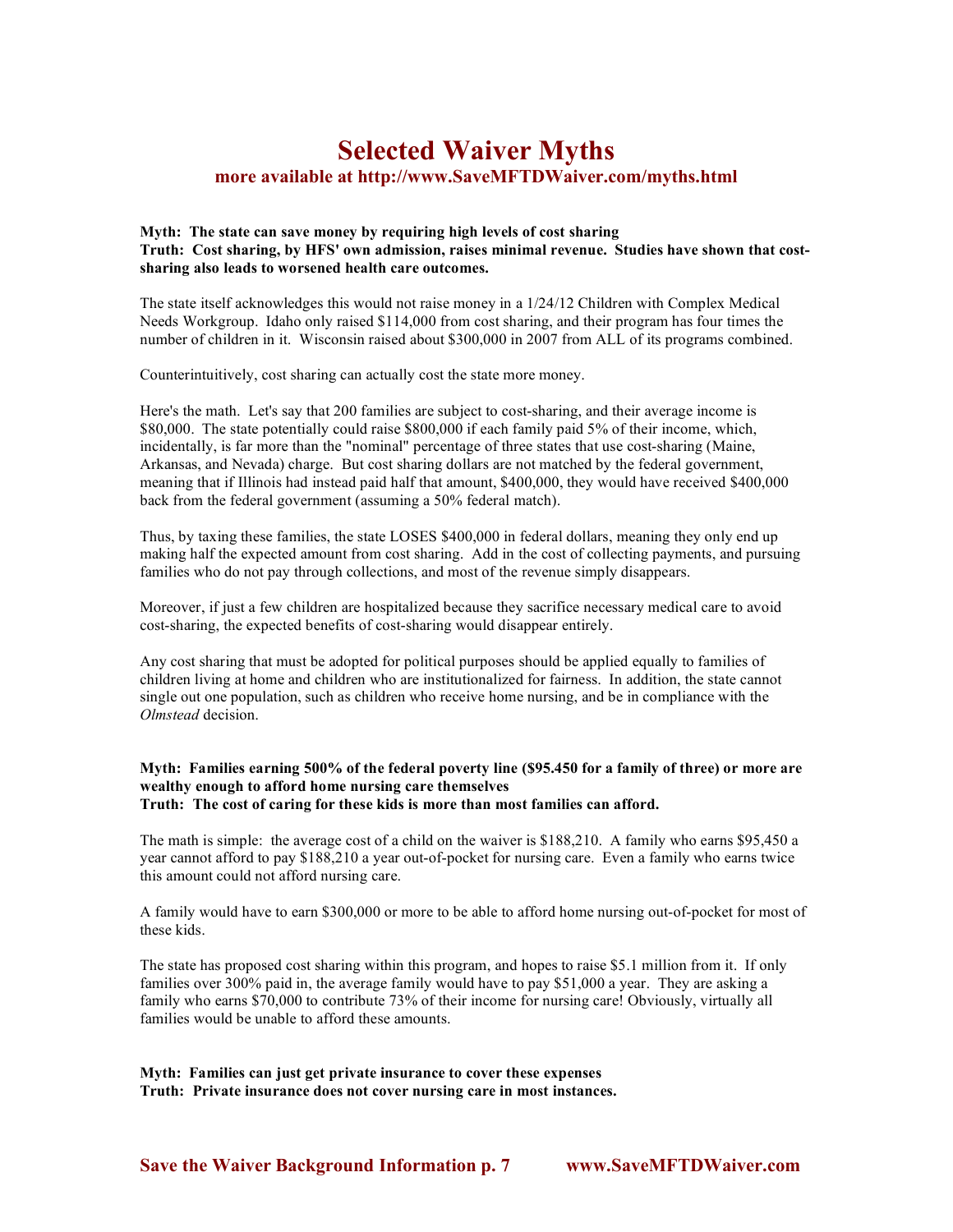### **Selected Waiver Myths more available at http://www.SaveMFTDWaiver.com/myths.html**

### **Myth: The state can save money by requiring high levels of cost sharing Truth: Cost sharing, by HFS' own admission, raises minimal revenue. Studies have shown that costsharing also leads to worsened health care outcomes.**

The state itself acknowledges this would not raise money in a 1/24/12 Children with Complex Medical Needs Workgroup. Idaho only raised \$114,000 from cost sharing, and their program has four times the number of children in it. Wisconsin raised about \$300,000 in 2007 from ALL of its programs combined.

Counterintuitively, cost sharing can actually cost the state more money.

Here's the math. Let's say that 200 families are subject to cost-sharing, and their average income is \$80,000. The state potentially could raise \$800,000 if each family paid 5% of their income, which, incidentally, is far more than the "nominal" percentage of three states that use cost-sharing (Maine, Arkansas, and Nevada) charge. But cost sharing dollars are not matched by the federal government, meaning that if Illinois had instead paid half that amount, \$400,000, they would have received \$400,000 back from the federal government (assuming a 50% federal match).

Thus, by taxing these families, the state LOSES \$400,000 in federal dollars, meaning they only end up making half the expected amount from cost sharing. Add in the cost of collecting payments, and pursuing families who do not pay through collections, and most of the revenue simply disappears.

Moreover, if just a few children are hospitalized because they sacrifice necessary medical care to avoid cost-sharing, the expected benefits of cost-sharing would disappear entirely.

Any cost sharing that must be adopted for political purposes should be applied equally to families of children living at home and children who are institutionalized for fairness. In addition, the state cannot single out one population, such as children who receive home nursing, and be in compliance with the *Olmstead* decision.

### **Myth: Families earning 500% of the federal poverty line (\$95.450 for a family of three) or more are wealthy enough to afford home nursing care themselves Truth: The cost of caring for these kids is more than most families can afford.**

The math is simple: the average cost of a child on the waiver is \$188,210. A family who earns \$95,450 a year cannot afford to pay \$188,210 a year out-of-pocket for nursing care. Even a family who earns twice this amount could not afford nursing care.

A family would have to earn \$300,000 or more to be able to afford home nursing out-of-pocket for most of these kids.

The state has proposed cost sharing within this program, and hopes to raise \$5.1 million from it. If only families over 300% paid in, the average family would have to pay \$51,000 a year. They are asking a family who earns \$70,000 to contribute 73% of their income for nursing care! Obviously, virtually all families would be unable to afford these amounts.

**Myth: Families can just get private insurance to cover these expenses Truth: Private insurance does not cover nursing care in most instances.**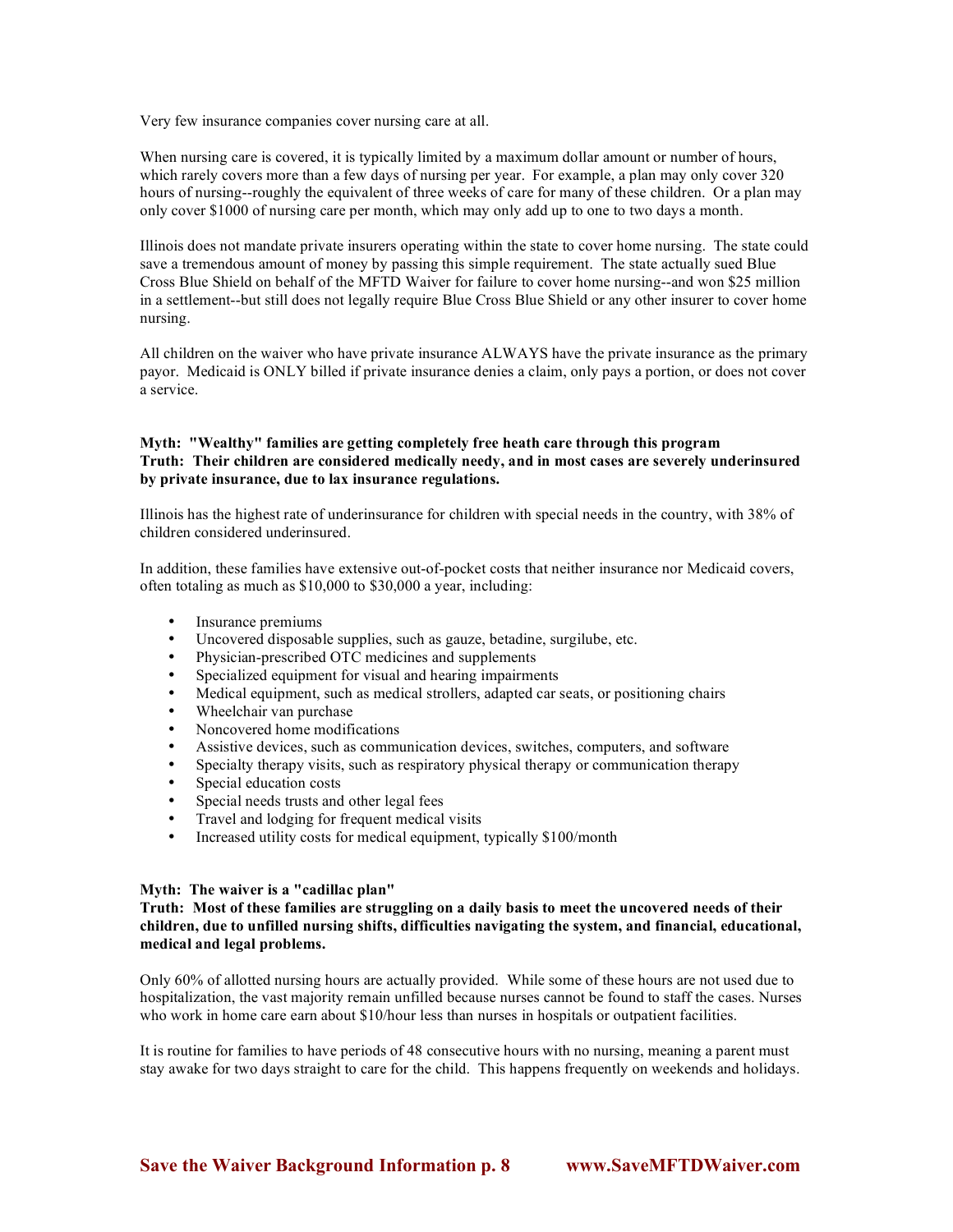Very few insurance companies cover nursing care at all.

When nursing care is covered, it is typically limited by a maximum dollar amount or number of hours, which rarely covers more than a few days of nursing per year. For example, a plan may only cover 320 hours of nursing--roughly the equivalent of three weeks of care for many of these children. Or a plan may only cover \$1000 of nursing care per month, which may only add up to one to two days a month.

Illinois does not mandate private insurers operating within the state to cover home nursing. The state could save a tremendous amount of money by passing this simple requirement. The state actually sued Blue Cross Blue Shield on behalf of the MFTD Waiver for failure to cover home nursing--and won \$25 million in a settlement--but still does not legally require Blue Cross Blue Shield or any other insurer to cover home nursing.

All children on the waiver who have private insurance ALWAYS have the private insurance as the primary payor. Medicaid is ONLY billed if private insurance denies a claim, only pays a portion, or does not cover a service.

### **Myth: "Wealthy" families are getting completely free heath care through this program Truth: Their children are considered medically needy, and in most cases are severely underinsured by private insurance, due to lax insurance regulations.**

Illinois has the highest rate of underinsurance for children with special needs in the country, with 38% of children considered underinsured.

In addition, these families have extensive out-of-pocket costs that neither insurance nor Medicaid covers, often totaling as much as \$10,000 to \$30,000 a year, including:

- Insurance premiums
- Uncovered disposable supplies, such as gauze, betadine, surgilube, etc.<br>• Physician-prescribed OTC medicines and supplements
- Physician-prescribed OTC medicines and supplements
- Specialized equipment for visual and hearing impairments<br>• Medical equipment, such as medical strollars, adapted car is
- Medical equipment, such as medical strollers, adapted car seats, or positioning chairs
- Wheelchair van purchase
- Noncovered home modifications
- Assistive devices, such as communication devices, switches, computers, and software
- Specialty therapy visits, such as respiratory physical therapy or communication therapy<br>• Special education costs
- Special education costs
- Special needs trusts and other legal fees
- Travel and lodging for frequent medical visits
- Increased utility costs for medical equipment, typically \$100/month

### **Myth: The waiver is a "cadillac plan"**

**Truth: Most of these families are struggling on a daily basis to meet the uncovered needs of their children, due to unfilled nursing shifts, difficulties navigating the system, and financial, educational, medical and legal problems.**

Only 60% of allotted nursing hours are actually provided. While some of these hours are not used due to hospitalization, the vast majority remain unfilled because nurses cannot be found to staff the cases. Nurses who work in home care earn about \$10/hour less than nurses in hospitals or outpatient facilities.

It is routine for families to have periods of 48 consecutive hours with no nursing, meaning a parent must stay awake for two days straight to care for the child. This happens frequently on weekends and holidays.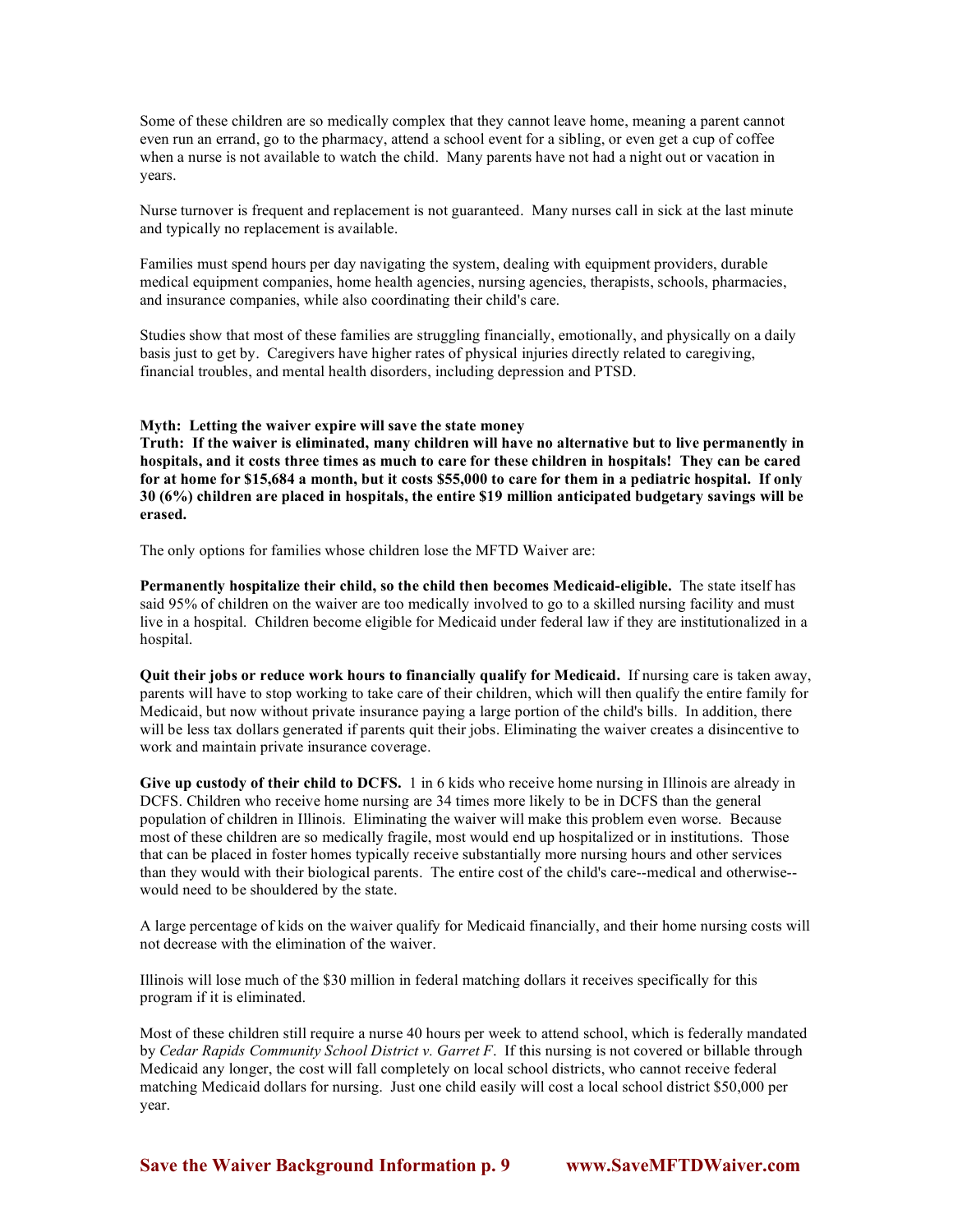Some of these children are so medically complex that they cannot leave home, meaning a parent cannot even run an errand, go to the pharmacy, attend a school event for a sibling, or even get a cup of coffee when a nurse is not available to watch the child. Many parents have not had a night out or vacation in years.

Nurse turnover is frequent and replacement is not guaranteed. Many nurses call in sick at the last minute and typically no replacement is available.

Families must spend hours per day navigating the system, dealing with equipment providers, durable medical equipment companies, home health agencies, nursing agencies, therapists, schools, pharmacies, and insurance companies, while also coordinating their child's care.

Studies show that most of these families are struggling financially, emotionally, and physically on a daily basis just to get by. Caregivers have higher rates of physical injuries directly related to caregiving, financial troubles, and mental health disorders, including depression and PTSD.

#### **Myth: Letting the waiver expire will save the state money**

**Truth: If the waiver is eliminated, many children will have no alternative but to live permanently in hospitals, and it costs three times as much to care for these children in hospitals! They can be cared for at home for \$15,684 a month, but it costs \$55,000 to care for them in a pediatric hospital. If only 30 (6%) children are placed in hospitals, the entire \$19 million anticipated budgetary savings will be erased.**

The only options for families whose children lose the MFTD Waiver are:

**Permanently hospitalize their child, so the child then becomes Medicaid-eligible.** The state itself has said 95% of children on the waiver are too medically involved to go to a skilled nursing facility and must live in a hospital. Children become eligible for Medicaid under federal law if they are institutionalized in a hospital.

**Quit their jobs or reduce work hours to financially qualify for Medicaid.** If nursing care is taken away, parents will have to stop working to take care of their children, which will then qualify the entire family for Medicaid, but now without private insurance paying a large portion of the child's bills. In addition, there will be less tax dollars generated if parents quit their jobs. Eliminating the waiver creates a disincentive to work and maintain private insurance coverage.

**Give up custody of their child to DCFS.** 1 in 6 kids who receive home nursing in Illinois are already in DCFS. Children who receive home nursing are 34 times more likely to be in DCFS than the general population of children in Illinois. Eliminating the waiver will make this problem even worse. Because most of these children are so medically fragile, most would end up hospitalized or in institutions. Those that can be placed in foster homes typically receive substantially more nursing hours and other services than they would with their biological parents. The entire cost of the child's care--medical and otherwise- would need to be shouldered by the state.

A large percentage of kids on the waiver qualify for Medicaid financially, and their home nursing costs will not decrease with the elimination of the waiver.

Illinois will lose much of the \$30 million in federal matching dollars it receives specifically for this program if it is eliminated.

Most of these children still require a nurse 40 hours per week to attend school, which is federally mandated by *Cedar Rapids Community School District v. Garret F*. If this nursing is not covered or billable through Medicaid any longer, the cost will fall completely on local school districts, who cannot receive federal matching Medicaid dollars for nursing. Just one child easily will cost a local school district \$50,000 per year.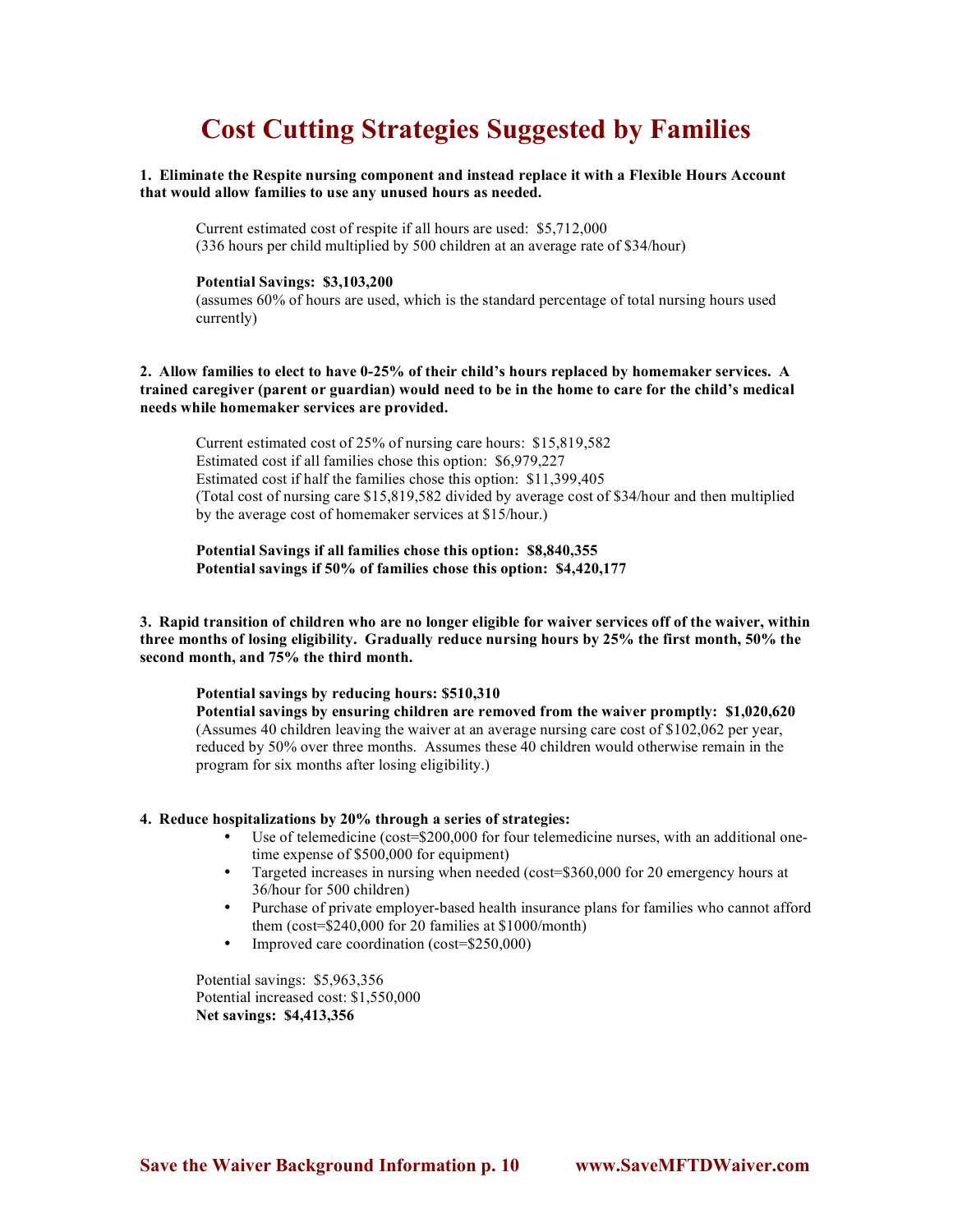# **Cost Cutting Strategies Suggested by Families**

### **1. Eliminate the Respite nursing component and instead replace it with a Flexible Hours Account that would allow families to use any unused hours as needed.**

Current estimated cost of respite if all hours are used: \$5,712,000 (336 hours per child multiplied by 500 children at an average rate of \$34/hour)

### **Potential Savings: \$3,103,200**

(assumes 60% of hours are used, which is the standard percentage of total nursing hours used currently)

### **2. Allow families to elect to have 0-25% of their child's hours replaced by homemaker services. A trained caregiver (parent or guardian) would need to be in the home to care for the child's medical needs while homemaker services are provided.**

Current estimated cost of 25% of nursing care hours: \$15,819,582 Estimated cost if all families chose this option: \$6,979,227 Estimated cost if half the families chose this option: \$11,399,405 (Total cost of nursing care \$15,819,582 divided by average cost of \$34/hour and then multiplied by the average cost of homemaker services at \$15/hour.)

**Potential Savings if all families chose this option: \$8,840,355 Potential savings if 50% of families chose this option: \$4,420,177**

**3. Rapid transition of children who are no longer eligible for waiver services off of the waiver, within three months of losing eligibility. Gradually reduce nursing hours by 25% the first month, 50% the second month, and 75% the third month.** 

### **Potential savings by reducing hours: \$510,310**

**Potential savings by ensuring children are removed from the waiver promptly: \$1,020,620** (Assumes 40 children leaving the waiver at an average nursing care cost of \$102,062 per year, reduced by 50% over three months. Assumes these 40 children would otherwise remain in the program for six months after losing eligibility.)

#### **4. Reduce hospitalizations by 20% through a series of strategies:**

- Use of telemedicine (cost=\$200,000 for four telemedicine nurses, with an additional onetime expense of \$500,000 for equipment)
- Targeted increases in nursing when needed (cost=\$360,000 for 20 emergency hours at 36/hour for 500 children)
- Purchase of private employer-based health insurance plans for families who cannot afford them (cost=\$240,000 for 20 families at \$1000/month)
- Improved care coordination (cost=\$250,000)

Potential savings: \$5,963,356 Potential increased cost: \$1,550,000 **Net savings: \$4,413,356**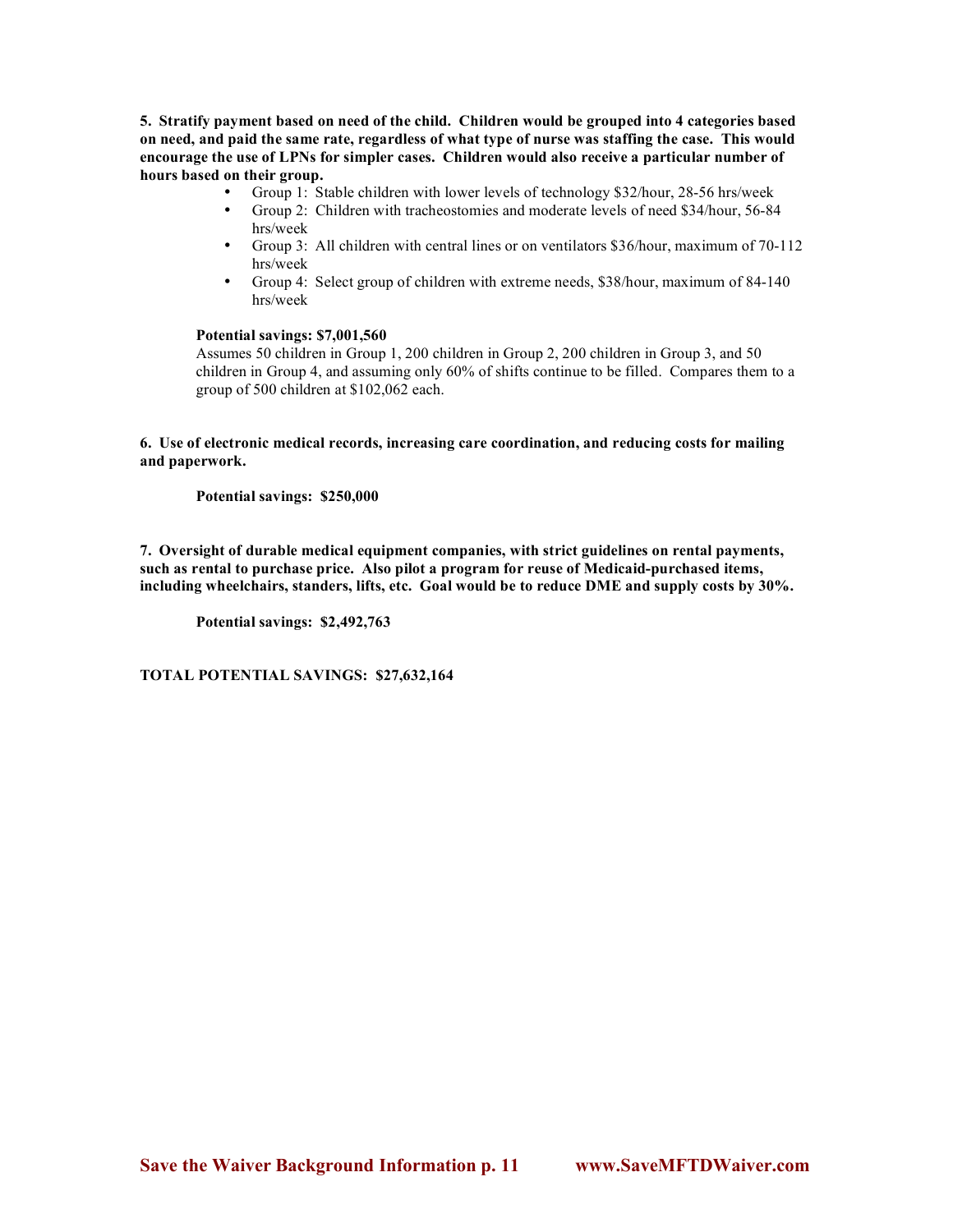**5. Stratify payment based on need of the child. Children would be grouped into 4 categories based on need, and paid the same rate, regardless of what type of nurse was staffing the case. This would encourage the use of LPNs for simpler cases. Children would also receive a particular number of hours based on their group.** 

- Group 1: Stable children with lower levels of technology \$32/hour, 28-56 hrs/week
- Group 2: Children with tracheostomies and moderate levels of need \$34/hour, 56-84 hrs/week
- Group 3: All children with central lines or on ventilators \$36/hour, maximum of 70-112 hrs/week
- Group 4: Select group of children with extreme needs, \$38/hour, maximum of 84-140 hrs/week

### **Potential savings: \$7,001,560**

Assumes 50 children in Group 1, 200 children in Group 2, 200 children in Group 3, and 50 children in Group 4, and assuming only 60% of shifts continue to be filled. Compares them to a group of 500 children at \$102,062 each.

**6. Use of electronic medical records, increasing care coordination, and reducing costs for mailing and paperwork.** 

**Potential savings: \$250,000**

**7. Oversight of durable medical equipment companies, with strict guidelines on rental payments, such as rental to purchase price. Also pilot a program for reuse of Medicaid-purchased items, including wheelchairs, standers, lifts, etc. Goal would be to reduce DME and supply costs by 30%.**

**Potential savings: \$2,492,763**

**TOTAL POTENTIAL SAVINGS: \$27,632,164**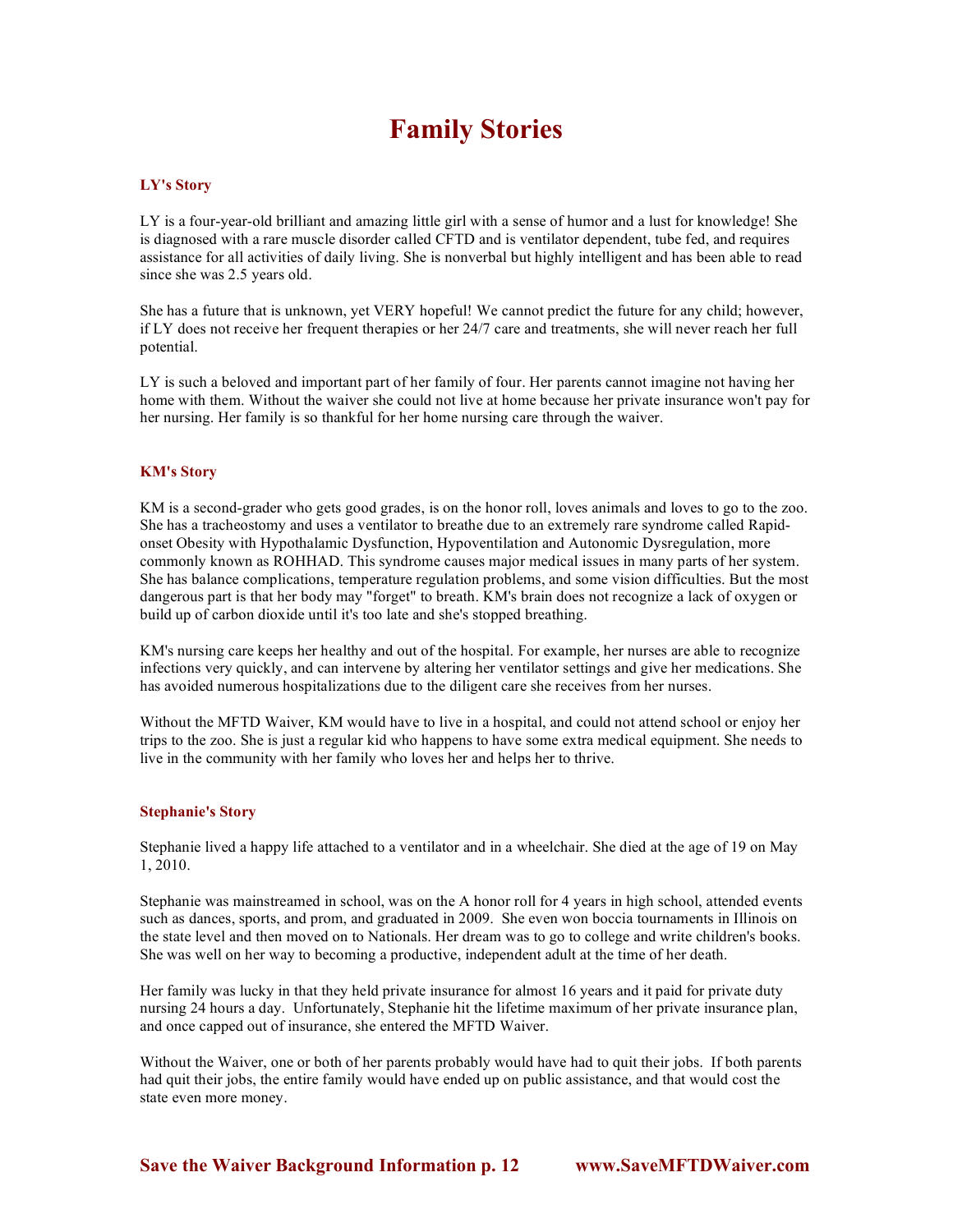# **Family Stories**

### **LY's Story**

LY is a four-year-old brilliant and amazing little girl with a sense of humor and a lust for knowledge! She is diagnosed with a rare muscle disorder called CFTD and is ventilator dependent, tube fed, and requires assistance for all activities of daily living. She is nonverbal but highly intelligent and has been able to read since she was 2.5 years old.

She has a future that is unknown, yet VERY hopeful! We cannot predict the future for any child; however, if LY does not receive her frequent therapies or her 24/7 care and treatments, she will never reach her full potential.

LY is such a beloved and important part of her family of four. Her parents cannot imagine not having her home with them. Without the waiver she could not live at home because her private insurance won't pay for her nursing. Her family is so thankful for her home nursing care through the waiver.

### **KM's Story**

KM is a second-grader who gets good grades, is on the honor roll, loves animals and loves to go to the zoo. She has a tracheostomy and uses a ventilator to breathe due to an extremely rare syndrome called Rapidonset Obesity with Hypothalamic Dysfunction, Hypoventilation and Autonomic Dysregulation, more commonly known as ROHHAD. This syndrome causes major medical issues in many parts of her system. She has balance complications, temperature regulation problems, and some vision difficulties. But the most dangerous part is that her body may "forget" to breath. KM's brain does not recognize a lack of oxygen or build up of carbon dioxide until it's too late and she's stopped breathing.

KM's nursing care keeps her healthy and out of the hospital. For example, her nurses are able to recognize infections very quickly, and can intervene by altering her ventilator settings and give her medications. She has avoided numerous hospitalizations due to the diligent care she receives from her nurses.

Without the MFTD Waiver, KM would have to live in a hospital, and could not attend school or enjoy her trips to the zoo. She is just a regular kid who happens to have some extra medical equipment. She needs to live in the community with her family who loves her and helps her to thrive.

### **Stephanie's Story**

Stephanie lived a happy life attached to a ventilator and in a wheelchair. She died at the age of 19 on May 1, 2010.

Stephanie was mainstreamed in school, was on the A honor roll for 4 years in high school, attended events such as dances, sports, and prom, and graduated in 2009. She even won boccia tournaments in Illinois on the state level and then moved on to Nationals. Her dream was to go to college and write children's books. She was well on her way to becoming a productive, independent adult at the time of her death.

Her family was lucky in that they held private insurance for almost 16 years and it paid for private duty nursing 24 hours a day. Unfortunately, Stephanie hit the lifetime maximum of her private insurance plan, and once capped out of insurance, she entered the MFTD Waiver.

Without the Waiver, one or both of her parents probably would have had to quit their jobs. If both parents had quit their jobs, the entire family would have ended up on public assistance, and that would cost the state even more money.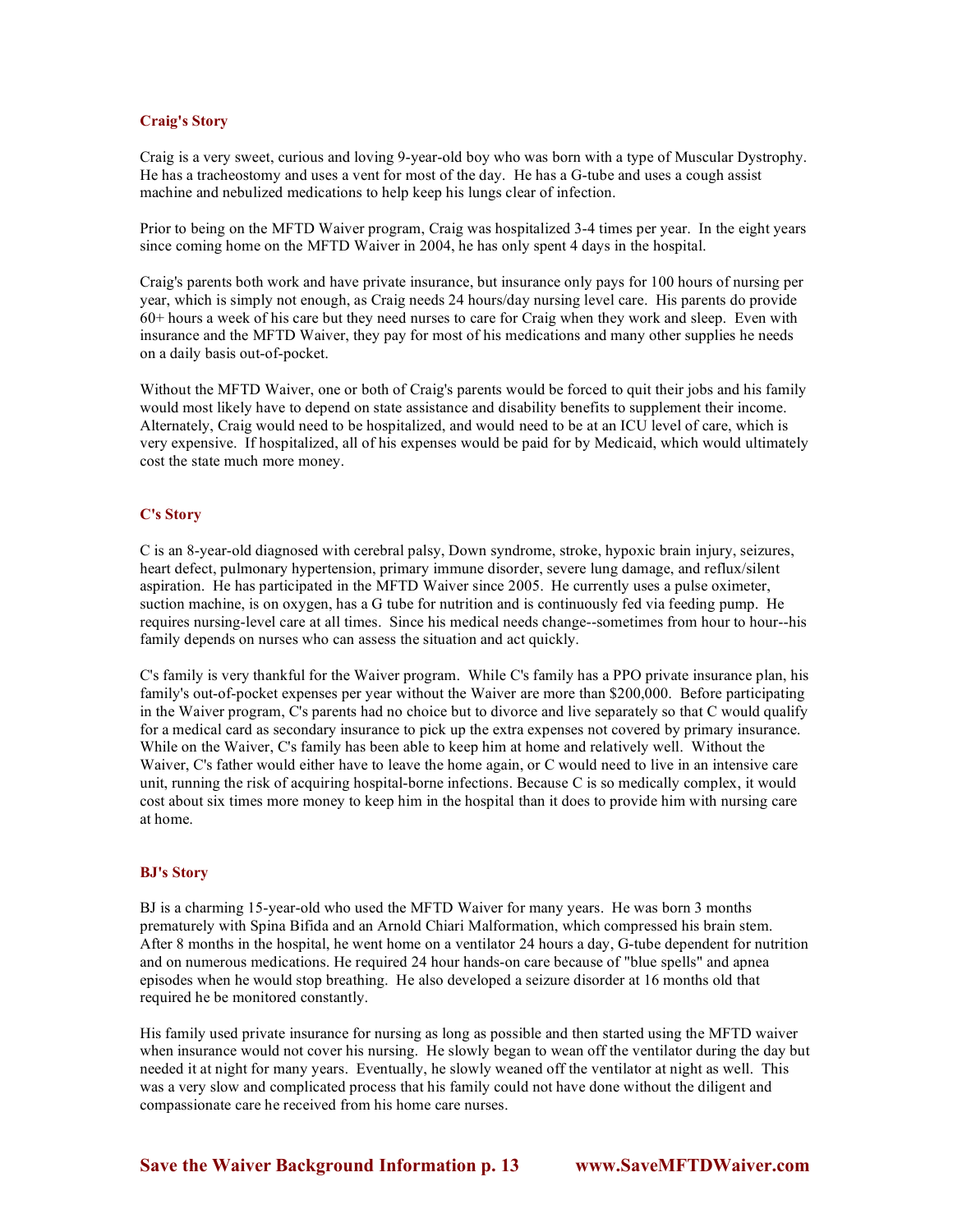### **Craig's Story**

Craig is a very sweet, curious and loving 9-year-old boy who was born with a type of Muscular Dystrophy. He has a tracheostomy and uses a vent for most of the day. He has a G-tube and uses a cough assist machine and nebulized medications to help keep his lungs clear of infection.

Prior to being on the MFTD Waiver program, Craig was hospitalized 3-4 times per year. In the eight years since coming home on the MFTD Waiver in 2004, he has only spent 4 days in the hospital.

Craig's parents both work and have private insurance, but insurance only pays for 100 hours of nursing per year, which is simply not enough, as Craig needs 24 hours/day nursing level care. His parents do provide 60+ hours a week of his care but they need nurses to care for Craig when they work and sleep. Even with insurance and the MFTD Waiver, they pay for most of his medications and many other supplies he needs on a daily basis out-of-pocket.

Without the MFTD Waiver, one or both of Craig's parents would be forced to quit their jobs and his family would most likely have to depend on state assistance and disability benefits to supplement their income. Alternately, Craig would need to be hospitalized, and would need to be at an ICU level of care, which is very expensive. If hospitalized, all of his expenses would be paid for by Medicaid, which would ultimately cost the state much more money.

### **C's Story**

C is an 8-year-old diagnosed with cerebral palsy, Down syndrome, stroke, hypoxic brain injury, seizures, heart defect, pulmonary hypertension, primary immune disorder, severe lung damage, and reflux/silent aspiration. He has participated in the MFTD Waiver since 2005. He currently uses a pulse oximeter, suction machine, is on oxygen, has a G tube for nutrition and is continuously fed via feeding pump. He requires nursing-level care at all times. Since his medical needs change--sometimes from hour to hour--his family depends on nurses who can assess the situation and act quickly.

C's family is very thankful for the Waiver program. While C's family has a PPO private insurance plan, his family's out-of-pocket expenses per year without the Waiver are more than \$200,000. Before participating in the Waiver program, C's parents had no choice but to divorce and live separately so that C would qualify for a medical card as secondary insurance to pick up the extra expenses not covered by primary insurance. While on the Waiver, C's family has been able to keep him at home and relatively well. Without the Waiver, C's father would either have to leave the home again, or C would need to live in an intensive care unit, running the risk of acquiring hospital-borne infections. Because C is so medically complex, it would cost about six times more money to keep him in the hospital than it does to provide him with nursing care at home.

### **BJ's Story**

BJ is a charming 15-year-old who used the MFTD Waiver for many years. He was born 3 months prematurely with Spina Bifida and an Arnold Chiari Malformation, which compressed his brain stem. After 8 months in the hospital, he went home on a ventilator 24 hours a day, G-tube dependent for nutrition and on numerous medications. He required 24 hour hands-on care because of "blue spells" and apnea episodes when he would stop breathing. He also developed a seizure disorder at 16 months old that required he be monitored constantly.

His family used private insurance for nursing as long as possible and then started using the MFTD waiver when insurance would not cover his nursing. He slowly began to wean off the ventilator during the day but needed it at night for many years. Eventually, he slowly weaned off the ventilator at night as well. This was a very slow and complicated process that his family could not have done without the diligent and compassionate care he received from his home care nurses.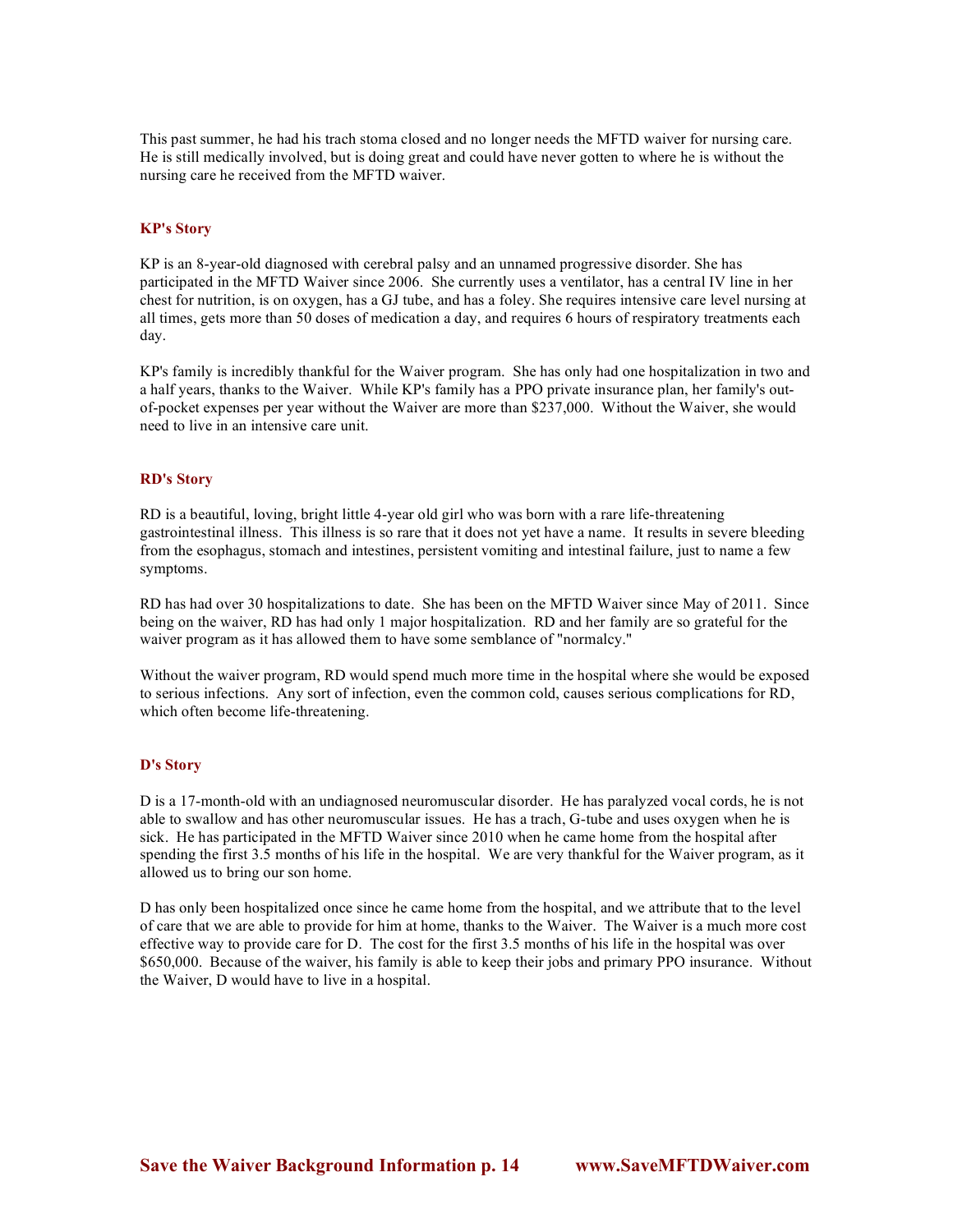This past summer, he had his trach stoma closed and no longer needs the MFTD waiver for nursing care. He is still medically involved, but is doing great and could have never gotten to where he is without the nursing care he received from the MFTD waiver.

### **KP's Story**

KP is an 8-year-old diagnosed with cerebral palsy and an unnamed progressive disorder. She has participated in the MFTD Waiver since 2006. She currently uses a ventilator, has a central IV line in her chest for nutrition, is on oxygen, has a GJ tube, and has a foley. She requires intensive care level nursing at all times, gets more than 50 doses of medication a day, and requires 6 hours of respiratory treatments each day.

KP's family is incredibly thankful for the Waiver program. She has only had one hospitalization in two and a half years, thanks to the Waiver. While KP's family has a PPO private insurance plan, her family's outof-pocket expenses per year without the Waiver are more than \$237,000. Without the Waiver, she would need to live in an intensive care unit.

### **RD's Story**

RD is a beautiful, loving, bright little 4-year old girl who was born with a rare life-threatening gastrointestinal illness. This illness is so rare that it does not yet have a name. It results in severe bleeding from the esophagus, stomach and intestines, persistent vomiting and intestinal failure, just to name a few symptoms.

RD has had over 30 hospitalizations to date. She has been on the MFTD Waiver since May of 2011. Since being on the waiver, RD has had only 1 major hospitalization. RD and her family are so grateful for the waiver program as it has allowed them to have some semblance of "normalcy."

Without the waiver program, RD would spend much more time in the hospital where she would be exposed to serious infections. Any sort of infection, even the common cold, causes serious complications for RD, which often become life-threatening.

#### **D's Story**

D is a 17-month-old with an undiagnosed neuromuscular disorder. He has paralyzed vocal cords, he is not able to swallow and has other neuromuscular issues. He has a trach, G-tube and uses oxygen when he is sick. He has participated in the MFTD Waiver since 2010 when he came home from the hospital after spending the first 3.5 months of his life in the hospital. We are very thankful for the Waiver program, as it allowed us to bring our son home.

D has only been hospitalized once since he came home from the hospital, and we attribute that to the level of care that we are able to provide for him at home, thanks to the Waiver. The Waiver is a much more cost effective way to provide care for D. The cost for the first 3.5 months of his life in the hospital was over \$650,000. Because of the waiver, his family is able to keep their jobs and primary PPO insurance. Without the Waiver, D would have to live in a hospital.